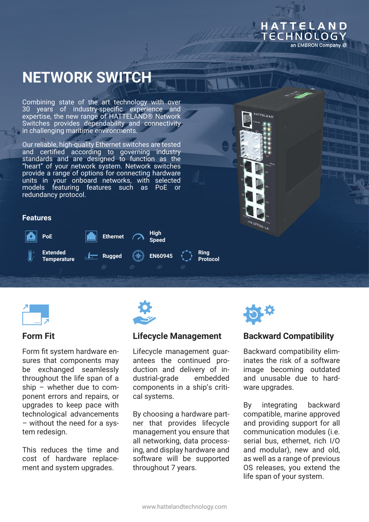#### HATTELAND ECHNOLOGY an EMBRON Company #

# **NETWORK SWITCH**

Combining state of the art technology with over 30 years of industry-specific experience and expertise, the new range of HATTELAND® Network Switches provides dependability and connectivity in challenging maritime environments.

Our reliable, high-quality Ethernet switches are tested and certified according to governing industry standards and are designed to function as the "heart" of your network system. Network switches provide a range of options for connecting hardware units in your onboard networks, with selected models featuring features such as PoE redundancy protocol.



#### **Features**





# **Form Fit**

Form fit system hardware ensures that components may be exchanged seamlessly throughout the life span of a ship – whether due to component errors and repairs, or upgrades to keep pace with technological advancements – without the need for a system redesign.

This reduces the time and cost of hardware replacement and system upgrades.



# **Lifecycle Management**

Lifecycle management guarantees the continued production and delivery of industrial-grade embedded components in a ship's critical systems.

By choosing a hardware partner that provides lifecycle management you ensure that all networking, data processing, and display hardware and software will be supported throughout 7 years.



# **Backward Compatibility**

Backward compatibility eliminates the risk of a software image becoming outdated and unusable due to hardware upgrades.

By integrating backward compatible, marine approved and providing support for all communication modules (i.e. serial bus, ethernet, rich I/O and modular), new and old, as well as a range of previous OS releases, you extend the life span of your system.